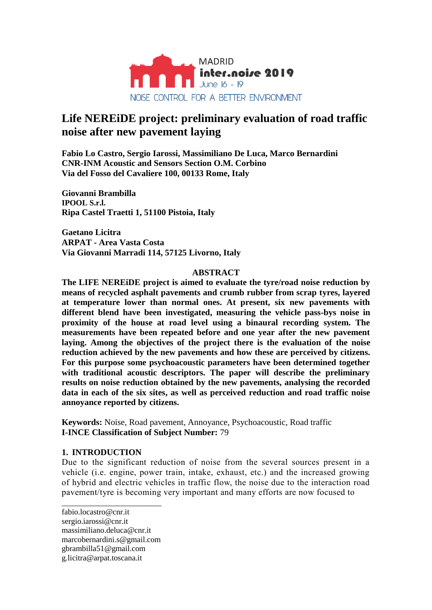

# **Life NEREiDE project: preliminary evaluation of road traffic noise after new pavement laying**

**Fabio Lo Castro, Sergio Iarossi, Massimiliano De Luca, Marco Bernardini CNR-INM Acoustic and Sensors Section O.M. Corbino Via del Fosso del Cavaliere 100, 00133 Rome, Italy**

**Giovanni Brambilla IPOOL S.r.l. Ripa Castel Traetti 1, 51100 Pistoia, Italy**

**Gaetano Licitra ARPAT - Area Vasta Costa Via Giovanni Marradi 114, 57125 Livorno, Italy**

### **ABSTRACT**

**The LIFE NEREiDE project is aimed to evaluate the tyre/road noise reduction by means of recycled asphalt pavements and crumb rubber from scrap tyres, layered at temperature lower than normal ones. At present, six new pavements with different blend have been investigated, measuring the vehicle pass-bys noise in proximity of the house at road level using a binaural recording system. The measurements have been repeated before and one year after the new pavement laying. Among the objectives of the project there is the evaluation of the noise reduction achieved by the new pavements and how these are perceived by citizens. For this purpose some psychoacoustic parameters have been determined together with traditional acoustic descriptors. The paper will describe the preliminary results on noise reduction obtained by the new pavements, analysing the recorded data in each of the six sites, as well as perceived reduction and road traffic noise annoyance reported by citizens.**

**Keywords:** Noise, Road pavement, Annoyance, Psychoacoustic, Road traffic **I-INCE Classification of Subject Number:** 79

### **1. INTRODUCTION**

Due to the significant reduction of noise from the several sources present in a vehicle (i.e. engine, power train, intake, exhaust, etc.) and the increased growing of hybrid and electric vehicles in traffic flow, the noise due to the interaction road pavement/tyre is becoming very important and many efforts are now focused to

fabio.locastro@cnr.it sergio.iarossi@cnr.it massimiliano.deluca@cnr.it marcobernardini.s@gmail.com gbrambilla51@gmail.com g.licitra@arpat.toscana.it

\_\_\_\_\_\_\_\_\_\_\_\_\_\_\_\_\_\_\_\_\_\_\_\_\_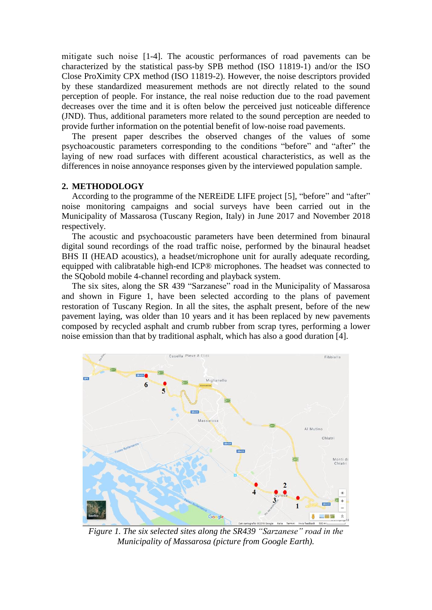mitigate such noise [1-4]. The acoustic performances of road pavements can be characterized by the statistical pass-by SPB method (ISO 11819-1) and/or the ISO Close ProXimity CPX method (ISO 11819-2). However, the noise descriptors provided by these standardized measurement methods are not directly related to the sound perception of people. For instance, the real noise reduction due to the road pavement decreases over the time and it is often below the perceived just noticeable difference (JND). Thus, additional parameters more related to the sound perception are needed to provide further information on the potential benefit of low-noise road pavements.

The present paper describes the observed changes of the values of some psychoacoustic parameters corresponding to the conditions "before" and "after" the laying of new road surfaces with different acoustical characteristics, as well as the differences in noise annoyance responses given by the interviewed population sample.

#### **2. METHODOLOGY**

According to the programme of the NEREiDE LIFE project [5], "before" and "after" noise monitoring campaigns and social surveys have been carried out in the Municipality of Massarosa (Tuscany Region, Italy) in June 2017 and November 2018 respectively.

The acoustic and psychoacoustic parameters have been determined from binaural digital sound recordings of the road traffic noise, performed by the binaural headset BHS II (HEAD acoustics), a headset/microphone unit for aurally adequate recording, equipped with calibratable high-end ICP® microphones. The headset was connected to the SQobold mobile 4-channel recording and playback system.

The six sites, along the SR 439 "Sarzanese" road in the Municipality of Massarosa and shown in Figure 1, have been selected according to the plans of pavement restoration of Tuscany Region. In all the sites, the asphalt present, before of the new pavement laying, was older than 10 years and it has been replaced by new pavements composed by recycled asphalt and crumb rubber from scrap tyres, performing a lower noise emission than that by traditional asphalt, which has also a good duration [4].



*Figure 1. The six selected sites along the SR439 "Sarzanese" road in the Municipality of Massarosa (picture from Google Earth).*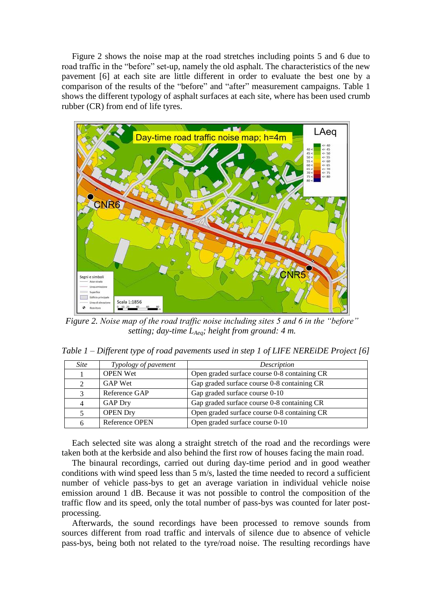Figure 2 shows the noise map at the road stretches including points 5 and 6 due to road traffic in the "before" set-up, namely the old asphalt. The characteristics of the new pavement [6] at each site are little different in order to evaluate the best one by a comparison of the results of the "before" and "after" measurement campaigns. Table 1 shows the different typology of asphalt surfaces at each site, where has been used crumb rubber (CR) from end of life tyres.



*Figure 2. Noise map of the road traffic noise including sites 5 and 6 in the "before" setting; day-time LAeq; height from ground: 4 m.*

*Table 1 – Different type of road pavements used in step 1 of LIFE NEREiDE Project [6]*

| <i>Site</i> | Typology of pavement | Description                                  |
|-------------|----------------------|----------------------------------------------|
|             | <b>OPEN Wet</b>      | Open graded surface course 0-8 containing CR |
|             | GAP Wet              | Gap graded surface course 0-8 containing CR  |
| 3           | Reference GAP        | Gap graded surface course 0-10               |
|             | <b>GAP Dry</b>       | Gap graded surface course 0-8 containing CR  |
|             | <b>OPEN Dry</b>      | Open graded surface course 0-8 containing CR |
| 6           | Reference OPEN       | Open graded surface course 0-10              |

Each selected site was along a straight stretch of the road and the recordings were taken both at the kerbside and also behind the first row of houses facing the main road.

The binaural recordings, carried out during day-time period and in good weather conditions with wind speed less than 5 m/s, lasted the time needed to record a sufficient number of vehicle pass-bys to get an average variation in individual vehicle noise emission around 1 dB. Because it was not possible to control the composition of the traffic flow and its speed, only the total number of pass-bys was counted for later postprocessing.

Afterwards, the sound recordings have been processed to remove sounds from sources different from road traffic and intervals of silence due to absence of vehicle pass-bys, being both not related to the tyre/road noise. The resulting recordings have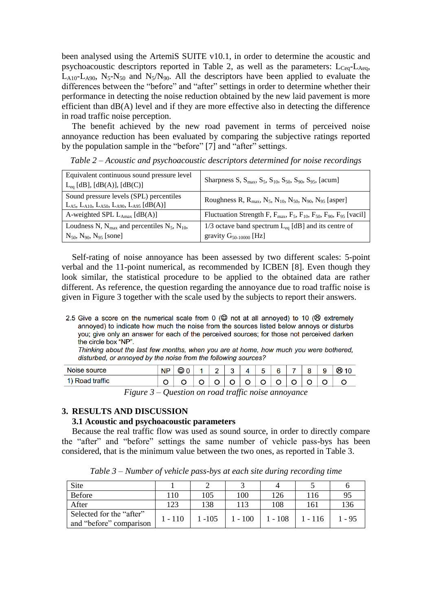been analysed using the ArtemiS SUITE v10.1, in order to determine the acoustic and psychoacoustic descriptors reported in Table 2, as well as the parameters:  $L_{Ceq}$ - $L_{Aeq}$ ,  $L_{A10}$ - $L_{A90}$ ,  $N_5$ - $N_{50}$  and  $N_5/N_{90}$ . All the descriptors have been applied to evaluate the differences between the "before" and "after" settings in order to determine whether their performance in detecting the noise reduction obtained by the new laid pavement is more efficient than dB(A) level and if they are more effective also in detecting the difference in road traffic noise perception.

The benefit achieved by the new road pavement in terms of perceived noise annoyance reduction has been evaluated by comparing the subjective ratings reported by the population sample in the "before" [7] and "after" settings.

| Equivalent continuous sound pressure level<br>$L_{eq}$ [dB], [dB(A)], [dB(C)]                               | Sharpness S, $S_{\text{max}}$ , $S_5$ , $S_{10}$ , $S_{50}$ , $S_{90}$ , $S_{95}$ , [acum]                                     |
|-------------------------------------------------------------------------------------------------------------|--------------------------------------------------------------------------------------------------------------------------------|
| Sound pressure levels (SPL) percentiles<br>$L_{A5}$ , $L_{A10}$ , $L_{A50}$ , $L_{A90}$ , $L_{A95}$ [dB(A)] | Roughness R, $R_{\text{max}}$ , N <sub>5</sub> , N <sub>10</sub> , N <sub>50</sub> , N <sub>90</sub> , N <sub>95</sub> [asper] |
| A-weighted SPL $L_{\text{Amax}}$ [dB(A)]                                                                    | Fluctuation Strength F, $F_{\text{max}}$ , $F_5$ , $F_{10}$ , $F_{50}$ , $F_{90}$ , $F_{95}$ [vacil]                           |
| Loudness N, $N_{\text{max}}$ and percentiles $N_5$ , $N_{10}$ ,                                             | 1/3 octave band spectrum $L_{eq}$ [dB] and its centre of                                                                       |
| $N_{50}$ , $N_{90}$ , $N_{95}$ [sone]                                                                       | gravity $G_{50-10000}$ [Hz]                                                                                                    |

*Table 2 – Acoustic and psychoacoustic descriptors determined for noise recordings*

Self-rating of noise annoyance has been assessed by two different scales: 5-point verbal and the 11-point numerical, as recommended by ICBEN [8]. Even though they look similar, the statistical procedure to be applied to the obtained data are rather different. As reference, the question regarding the annoyance due to road traffic noise is given in Figure 3 together with the scale used by the subjects to report their answers.

Thinking about the last few months, when you are at home, how much you were bothered, disturbed, or annoyed by the noise from the following sources?

| Noise source               | <b>NP</b> | ల | C | ົ | - | e |  | a | ⊛ |
|----------------------------|-----------|---|---|---|---|---|--|---|---|
| Road traffic<br><b>4 V</b> | ◡         |   |   |   |   |   |  |   | ັ |

*Figure 3 – Question on road traffic noise annoyance*

#### **3. RESULTS AND DISCUSSION**

#### **3.1 Acoustic and psychoacoustic parameters**

Because the real traffic flow was used as sound source, in order to directly compare the "after" and "before" settings the same number of vehicle pass-bys has been considered, that is the minimum value between the two ones, as reported in Table 3.

Site 1 2 3 4 5 6 Before 110 105 100 126 116 95 After 123 138 113 108 161 136 Selected for the "after" and "before" comparison  $1 - 110$  1 - 105 1 - 100 1 - 108 1 - 116 1 - 95

*Table 3 – Number of vehicle pass-bys at each site during recording time*

<sup>2.5</sup> Give a score on the numerical scale from 0 ( $\circledcirc$  not at all annoyed) to 10 ( $\circledcirc$  extremely annoyed) to indicate how much the noise from the sources listed below annoys or disturbs you; give only an answer for each of the perceived sources; for those not perceived darken the circle box "NP".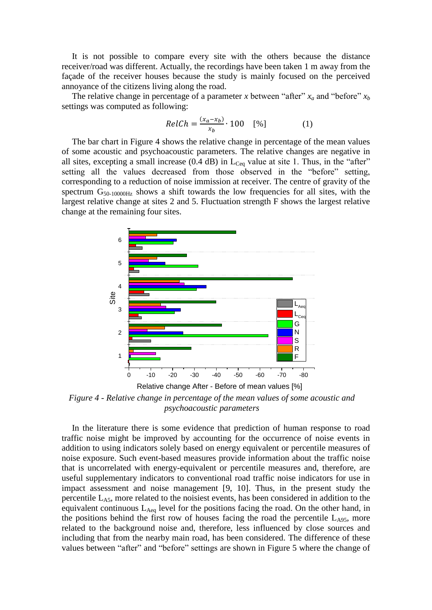It is not possible to compare every site with the others because the distance receiver/road was different. Actually, the recordings have been taken 1 m away from the façade of the receiver houses because the study is mainly focused on the perceived annoyance of the citizens living along the road.

The relative change in percentage of a parameter *x* between "after"  $x_a$  and "before"  $x_b$ settings was computed as following:

$$
RelCh = \frac{(x_a - x_b)}{x_b} \cdot 100 \quad [%]
$$
 (1)

The bar chart in Figure 4 shows the relative change in percentage of the mean values of some acoustic and psychoacoustic parameters. The relative changes are negative in all sites, excepting a small increase  $(0.4 \text{ dB})$  in  $L_{Ceq}$  value at site 1. Thus, in the "after" setting all the values decreased from those observed in the "before" setting, corresponding to a reduction of noise immission at receiver. The centre of gravity of the spectrum  $G_{50-10000Hz}$  shows a shift towards the low frequencies for all sites, with the largest relative change at sites 2 and 5. Fluctuation strength F shows the largest relative change at the remaining four sites.



*Figure 4 - Relative change in percentage of the mean values of some acoustic and psychoacoustic parameters*

In the literature there is some evidence that prediction of human response to road traffic noise might be improved by accounting for the occurrence of noise events in addition to using indicators solely based on energy equivalent or percentile measures of noise exposure. Such event-based measures provide information about the traffic noise that is uncorrelated with energy-equivalent or percentile measures and, therefore, are useful supplementary indicators to conventional road traffic noise indicators for use in impact assessment and noise management [9, 10]. Thus, in the present study the percentile LA5, more related to the noisiest events, has been considered in addition to the equivalent continuous  $L_{Aeq}$  level for the positions facing the road. On the other hand, in the positions behind the first row of houses facing the road the percentile  $L_{A95}$ , more related to the background noise and, therefore, less influenced by close sources and including that from the nearby main road, has been considered. The difference of these values between "after" and "before" settings are shown in Figure 5 where the change of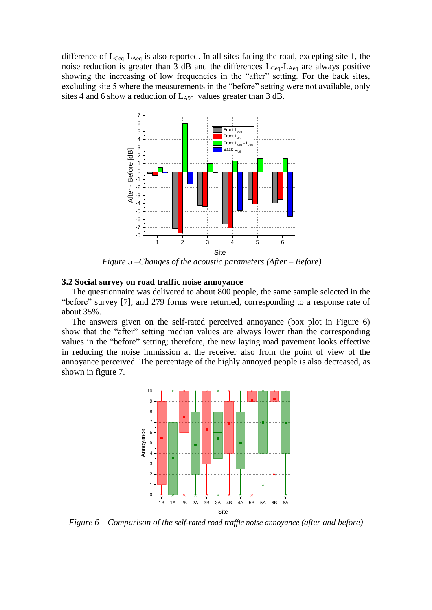difference of  $L_{Ceq}$ - $L_{Aeq}$  is also reported. In all sites facing the road, excepting site 1, the noise reduction is greater than 3 dB and the differences  $L_{Ceq}$ - $L_{Aeq}$  are always positive showing the increasing of low frequencies in the "after" setting. For the back sites, excluding site 5 where the measurements in the "before" setting were not available, only sites 4 and 6 show a reduction of  $L_{A95}$  values greater than 3 dB.



*Figure 5 –Changes of the acoustic parameters (After – Before)*

#### **3.2 Social survey on road traffic noise annoyance**

The questionnaire was delivered to about 800 people, the same sample selected in the "before" survey [7], and 279 forms were returned, corresponding to a response rate of about 35%.

The answers given on the self-rated perceived annoyance (box plot in Figure 6) show that the "after" setting median values are always lower than the corresponding values in the "before" setting; therefore, the new laying road pavement looks effective in reducing the noise immission at the receiver also from the point of view of the annoyance perceived. The percentage of the highly annoyed people is also decreased, as shown in figure 7.



*Figure 6 – Comparison of the self-rated road traffic noise annoyance (after and before)*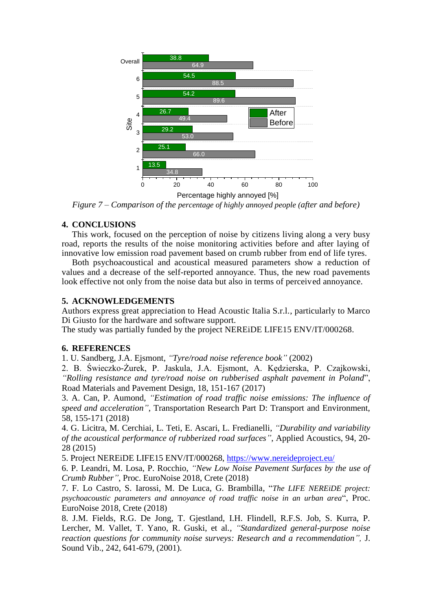

*Figure 7 – Comparison of the percentage of highly annoyed people (after and before)*

### **4. CONCLUSIONS**

This work, focused on the perception of noise by citizens living along a very busy road, reports the results of the noise monitoring activities before and after laying of innovative low emission road pavement based on crumb rubber from end of life tyres.

Both psychoacoustical and acoustical measured parameters show a reduction of values and a decrease of the self-reported annoyance. Thus, the new road pavements look effective not only from the noise data but also in terms of perceived annoyance.

## **5. ACKNOWLEDGEMENTS**

Authors express great appreciation to Head Acoustic Italia S.r.l., particularly to Marco Di Giusto for the hardware and software support.

The study was partially funded by the project NEREiDE LIFE15 ENV/IT/000268.

### **6. REFERENCES**

1. U. Sandberg, J.A. Ejsmont, *"Tyre/road noise reference book"* (2002)

2. B. Świeczko-Żurek, P. Jaskula, J.A. Ejsmont, A. Kędzierska, P. Czajkowski, *"Rolling resistance and tyre/road noise on rubberised asphalt pavement in Poland*", Road Materials and Pavement Design, 18, 151-167 (2017)

3. A. Can, P. Aumond, *"Estimation of road traffic noise emissions: The influence of speed and acceleration"*, Transportation Research Part D: Transport and Environment, 58, 155-171 (2018)

4. G. Licitra, M. Cerchiai, L. Teti, E. Ascari, L. Fredianelli, *"Durability and variability of the acoustical performance of rubberized road surfaces"*, Applied Acoustics, 94, 20- 28 (2015)

5. Project NEREiDE LIFE15 ENV/IT/000268, https://www.nereideproject.eu/

6. P. Leandri, M. Losa, P. Rocchio, *"New Low Noise Pavement Surfaces by the use of Crumb Rubber"*, Proc. EuroNoise 2018, Crete (2018)

7. F. Lo Castro, S. Iarossi, M. De Luca, G. Brambilla*,* "*The LIFE NEREiDE project: psychoacoustic parameters and annoyance of road traffic noise in an urban area*", Proc. EuroNoise 2018, Crete (2018)

8. J.M. Fields, R.G. De Jong, T. Gjestland, I.H. Flindell, R.F.S. Job, S. Kurra, P. Lercher, M. Vallet, T. Yano, R. Guski, et al*., "Standardized general-purpose noise reaction questions for community noise surveys: Research and a recommendation",* J. Sound Vib., 242, 641-679, (2001).